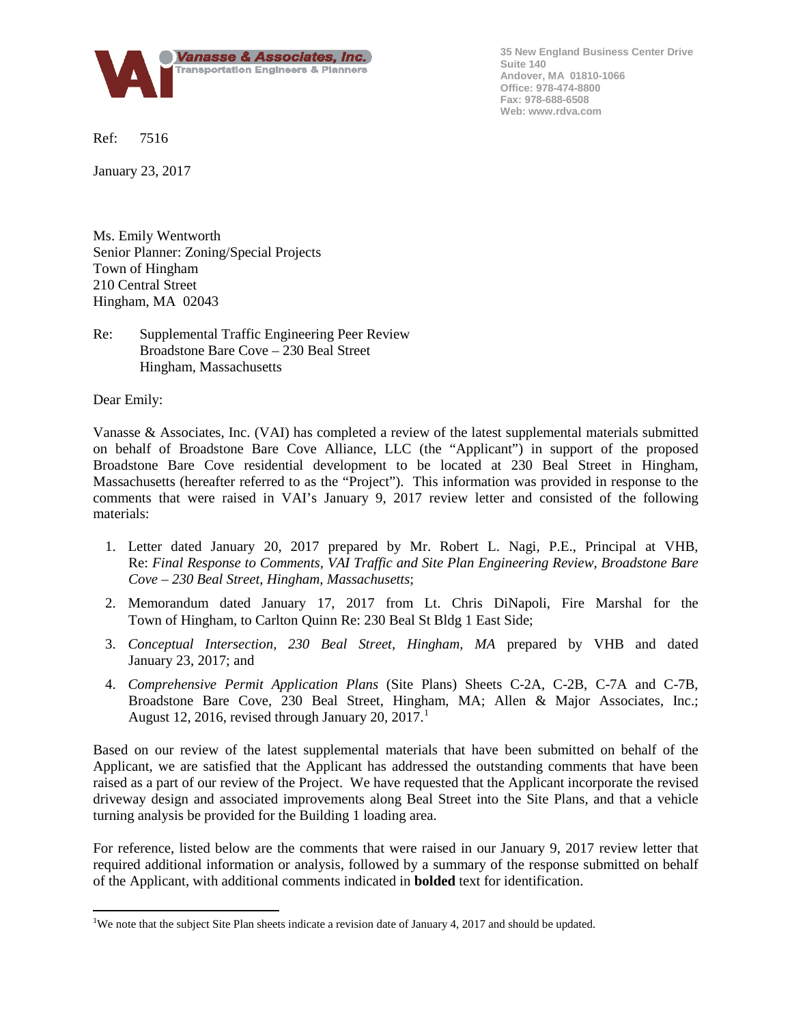

**35 New England Business Center Drive Suite 140 Andover, MA 01810-1066 Office: 978-474-8800 Fax: 978-688-6508 Web: www.rdva.com**

Ref: 7516

January 23, 2017

Ms. Emily Wentworth Senior Planner: Zoning/Special Projects Town of Hingham 210 Central Street Hingham, MA 02043

# Re: Supplemental Traffic Engineering Peer Review Broadstone Bare Cove – 230 Beal Street Hingham, Massachusetts

Dear Emily:

Vanasse & Associates, Inc. (VAI) has completed a review of the latest supplemental materials submitted on behalf of Broadstone Bare Cove Alliance, LLC (the "Applicant") in support of the proposed Broadstone Bare Cove residential development to be located at 230 Beal Street in Hingham, Massachusetts (hereafter referred to as the "Project"). This information was provided in response to the comments that were raised in VAI's January 9, 2017 review letter and consisted of the following materials:

- 1. Letter dated January 20, 2017 prepared by Mr. Robert L. Nagi, P.E., Principal at VHB, Re: *Final Response to Comments, VAI Traffic and Site Plan Engineering Review, Broadstone Bare Cove – 230 Beal Street, Hingham, Massachusetts*;
- 2. Memorandum dated January 17, 2017 from Lt. Chris DiNapoli, Fire Marshal for the Town of Hingham, to Carlton Quinn Re: 230 Beal St Bldg 1 East Side;
- 3. *Conceptual Intersection, 230 Beal Street, Hingham, MA* prepared by VHB and dated January 23, 2017; and
- 4. *Comprehensive Permit Application Plans* (Site Plans) Sheets C-2A, C-2B, C-7A and C-7B, Broadstone Bare Cove, 230 Beal Street, Hingham, MA; Allen & Major Associates, Inc.; August [1](#page-0-0)2, 2016, revised through January 20, 2017.

Based on our review of the latest supplemental materials that have been submitted on behalf of the Applicant, we are satisfied that the Applicant has addressed the outstanding comments that have been raised as a part of our review of the Project. We have requested that the Applicant incorporate the revised driveway design and associated improvements along Beal Street into the Site Plans, and that a vehicle turning analysis be provided for the Building 1 loading area.

For reference, listed below are the comments that were raised in our January 9, 2017 review letter that required additional information or analysis, followed by a summary of the response submitted on behalf of the Applicant, with additional comments indicated in **bolded** text for identification.

<span id="page-0-0"></span><sup>|&</sup>lt;br>|<br>| <sup>1</sup>We note that the subject Site Plan sheets indicate a revision date of January 4, 2017 and should be updated.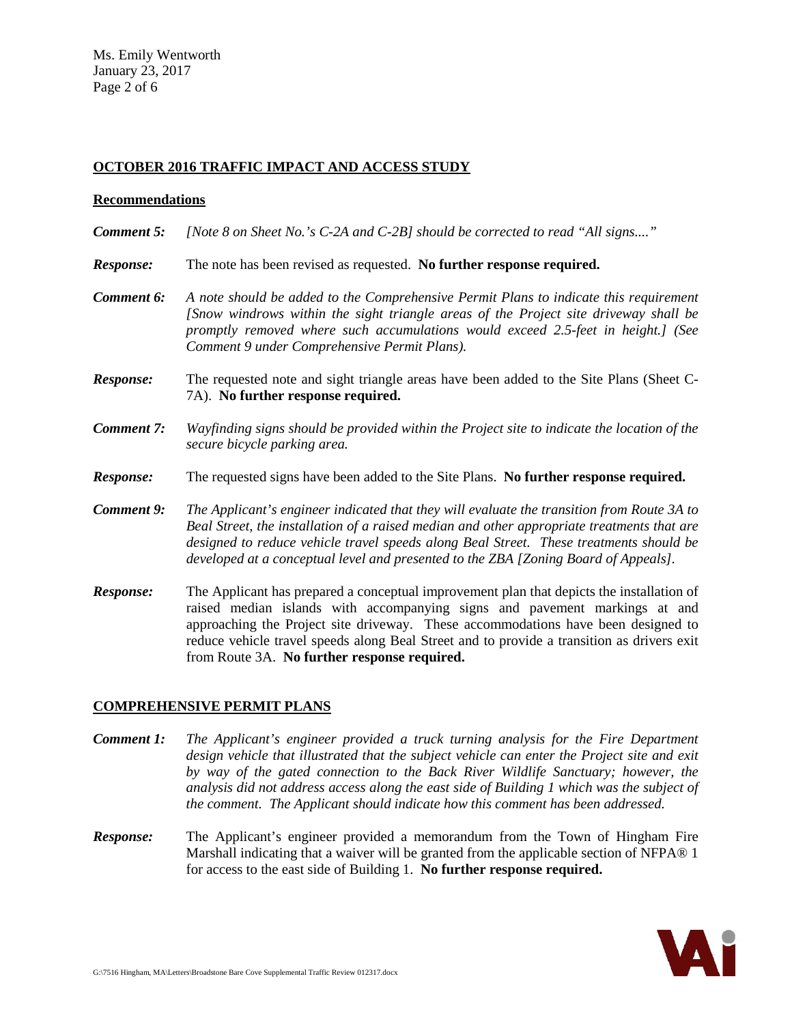# **OCTOBER 2016 TRAFFIC IMPACT AND ACCESS STUDY**

#### **Recommendations**

- *Comment 5: [Note 8 on Sheet No.'s C-2A and C-2B] should be corrected to read "All signs...."*
- *Response:* The note has been revised as requested. **No further response required.**
- *Comment 6: A note should be added to the Comprehensive Permit Plans to indicate this requirement [Snow windrows within the sight triangle areas of the Project site driveway shall be promptly removed where such accumulations would exceed 2.5-feet in height.] (See Comment 9 under Comprehensive Permit Plans).*
- **Response:** The requested note and sight triangle areas have been added to the Site Plans (Sheet C-7A). **No further response required.**
- *Comment 7: Wayfinding signs should be provided within the Project site to indicate the location of the secure bicycle parking area.*
- *Response:* The requested signs have been added to the Site Plans. **No further response required.**
- *Comment 9: The Applicant's engineer indicated that they will evaluate the transition from Route 3A to Beal Street, the installation of a raised median and other appropriate treatments that are designed to reduce vehicle travel speeds along Beal Street. These treatments should be developed at a conceptual level and presented to the ZBA [Zoning Board of Appeals].*
- *Response:* The Applicant has prepared a conceptual improvement plan that depicts the installation of raised median islands with accompanying signs and pavement markings at and approaching the Project site driveway. These accommodations have been designed to reduce vehicle travel speeds along Beal Street and to provide a transition as drivers exit from Route 3A. **No further response required.**

### **COMPREHENSIVE PERMIT PLANS**

- *Comment 1: The Applicant's engineer provided a truck turning analysis for the Fire Department design vehicle that illustrated that the subject vehicle can enter the Project site and exit by way of the gated connection to the Back River Wildlife Sanctuary; however, the analysis did not address access along the east side of Building 1 which was the subject of the comment. The Applicant should indicate how this comment has been addressed.*
- *Response:* The Applicant's engineer provided a memorandum from the Town of Hingham Fire Marshall indicating that a waiver will be granted from the applicable section of NFPA® 1 for access to the east side of Building 1. **No further response required.**

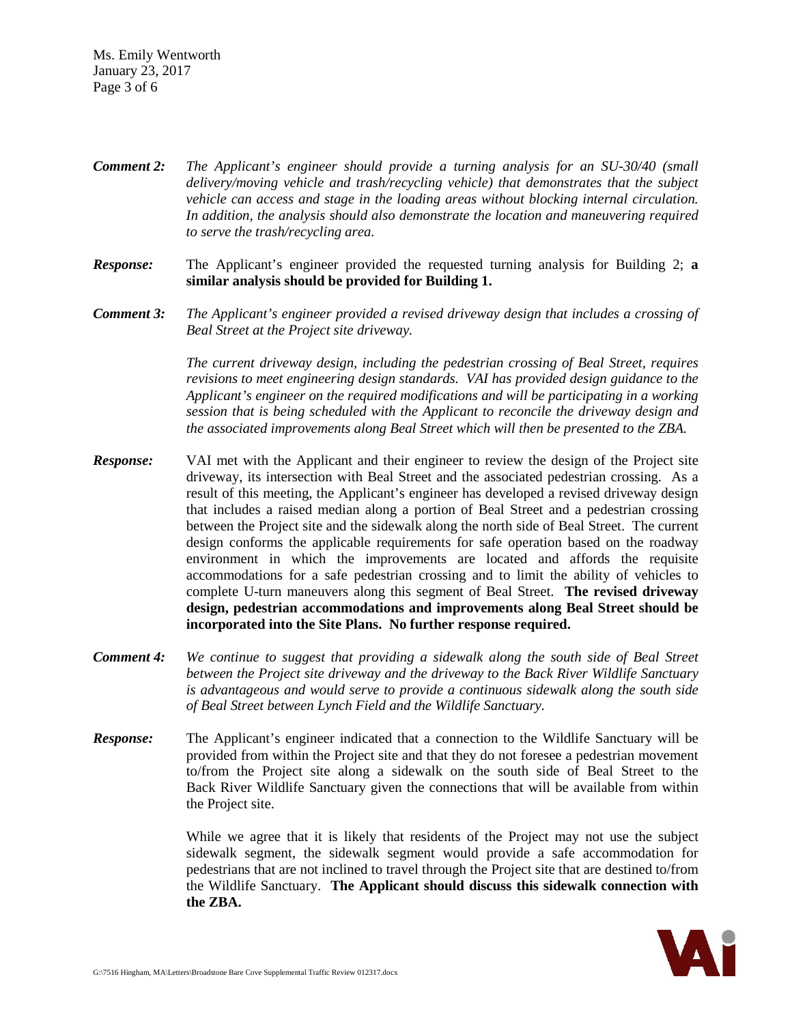Ms. Emily Wentworth January 23, 2017 Page 3 of 6

*Comment 2: The Applicant's engineer should provide a turning analysis for an SU-30/40 (small delivery/moving vehicle and trash/recycling vehicle) that demonstrates that the subject vehicle can access and stage in the loading areas without blocking internal circulation. In addition, the analysis should also demonstrate the location and maneuvering required to serve the trash/recycling area.*

*Response:* The Applicant's engineer provided the requested turning analysis for Building 2; **a similar analysis should be provided for Building 1.**

*Comment 3: The Applicant's engineer provided a revised driveway design that includes a crossing of Beal Street at the Project site driveway.*

> *The current driveway design, including the pedestrian crossing of Beal Street, requires revisions to meet engineering design standards. VAI has provided design guidance to the Applicant's engineer on the required modifications and will be participating in a working session that is being scheduled with the Applicant to reconcile the driveway design and the associated improvements along Beal Street which will then be presented to the ZBA.*

- *Response:* VAI met with the Applicant and their engineer to review the design of the Project site driveway, its intersection with Beal Street and the associated pedestrian crossing. As a result of this meeting, the Applicant's engineer has developed a revised driveway design that includes a raised median along a portion of Beal Street and a pedestrian crossing between the Project site and the sidewalk along the north side of Beal Street. The current design conforms the applicable requirements for safe operation based on the roadway environment in which the improvements are located and affords the requisite accommodations for a safe pedestrian crossing and to limit the ability of vehicles to complete U-turn maneuvers along this segment of Beal Street. **The revised driveway design, pedestrian accommodations and improvements along Beal Street should be incorporated into the Site Plans. No further response required.**
- *Comment 4: We continue to suggest that providing a sidewalk along the south side of Beal Street between the Project site driveway and the driveway to the Back River Wildlife Sanctuary is advantageous and would serve to provide a continuous sidewalk along the south side of Beal Street between Lynch Field and the Wildlife Sanctuary.*
- *Response:* The Applicant's engineer indicated that a connection to the Wildlife Sanctuary will be provided from within the Project site and that they do not foresee a pedestrian movement to/from the Project site along a sidewalk on the south side of Beal Street to the Back River Wildlife Sanctuary given the connections that will be available from within the Project site.

While we agree that it is likely that residents of the Project may not use the subject sidewalk segment, the sidewalk segment would provide a safe accommodation for pedestrians that are not inclined to travel through the Project site that are destined to/from the Wildlife Sanctuary. **The Applicant should discuss this sidewalk connection with the ZBA.**

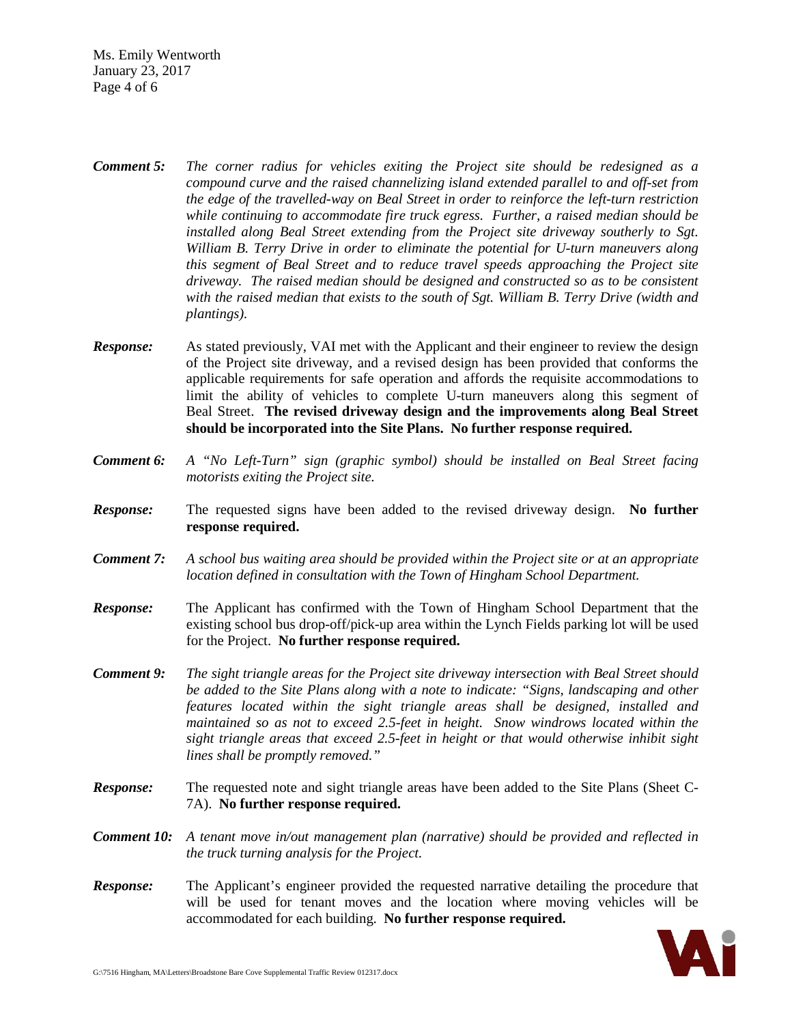Ms. Emily Wentworth January 23, 2017 Page 4 of 6

- *Comment 5: The corner radius for vehicles exiting the Project site should be redesigned as a compound curve and the raised channelizing island extended parallel to and off-set from the edge of the travelled-way on Beal Street in order to reinforce the left-turn restriction while continuing to accommodate fire truck egress. Further, a raised median should be installed along Beal Street extending from the Project site driveway southerly to Sgt. William B. Terry Drive in order to eliminate the potential for U-turn maneuvers along this segment of Beal Street and to reduce travel speeds approaching the Project site driveway. The raised median should be designed and constructed so as to be consistent with the raised median that exists to the south of Sgt. William B. Terry Drive (width and plantings).*
- **Response:** As stated previously, VAI met with the Applicant and their engineer to review the design of the Project site driveway, and a revised design has been provided that conforms the applicable requirements for safe operation and affords the requisite accommodations to limit the ability of vehicles to complete U-turn maneuvers along this segment of Beal Street. **The revised driveway design and the improvements along Beal Street should be incorporated into the Site Plans. No further response required.**
- *Comment 6: A "No Left-Turn" sign (graphic symbol) should be installed on Beal Street facing motorists exiting the Project site.*
- *Response:* The requested signs have been added to the revised driveway design. **No further response required.**
- *Comment 7: A school bus waiting area should be provided within the Project site or at an appropriate location defined in consultation with the Town of Hingham School Department.*
- *Response:* The Applicant has confirmed with the Town of Hingham School Department that the existing school bus drop-off/pick-up area within the Lynch Fields parking lot will be used for the Project. **No further response required.**
- *Comment 9: The sight triangle areas for the Project site driveway intersection with Beal Street should be added to the Site Plans along with a note to indicate: "Signs, landscaping and other features located within the sight triangle areas shall be designed, installed and maintained so as not to exceed 2.5-feet in height. Snow windrows located within the sight triangle areas that exceed 2.5-feet in height or that would otherwise inhibit sight lines shall be promptly removed."*
- **Response:** The requested note and sight triangle areas have been added to the Site Plans (Sheet C-7A). **No further response required.**
- *Comment 10: A tenant move in/out management plan (narrative) should be provided and reflected in the truck turning analysis for the Project.*
- *Response:* The Applicant's engineer provided the requested narrative detailing the procedure that will be used for tenant moves and the location where moving vehicles will be accommodated for each building. **No further response required.**

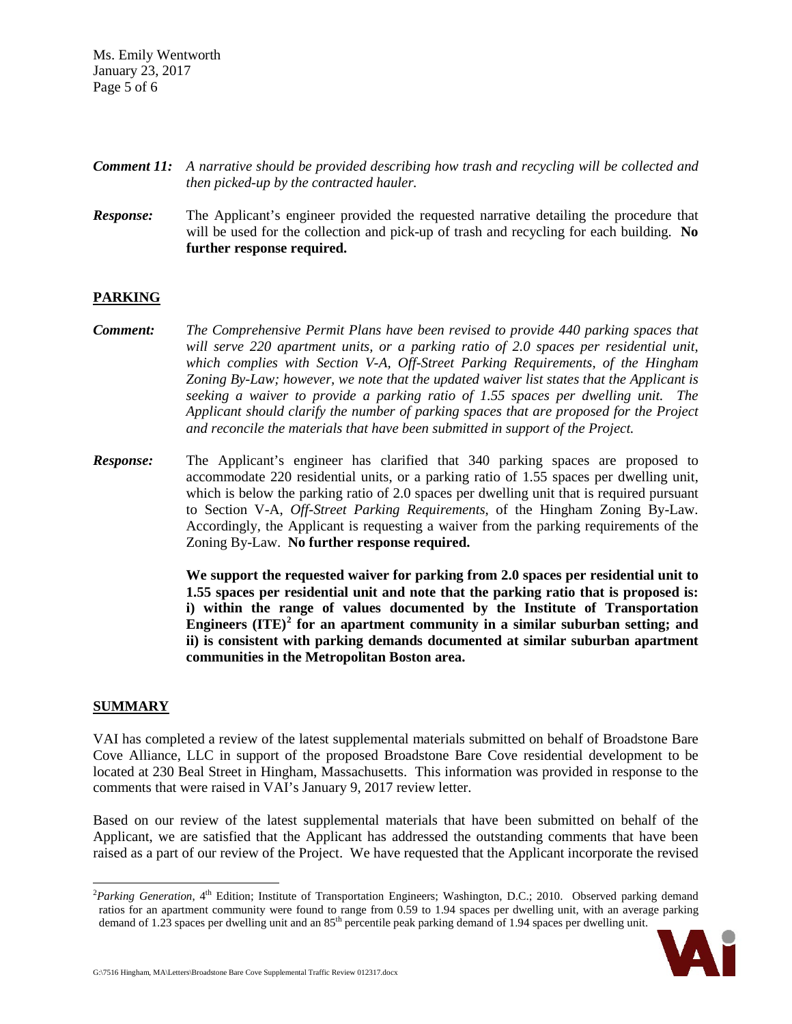Ms. Emily Wentworth January 23, 2017 Page 5 of 6

- *Comment 11: A narrative should be provided describing how trash and recycling will be collected and then picked-up by the contracted hauler.*
- *Response:* The Applicant's engineer provided the requested narrative detailing the procedure that will be used for the collection and pick-up of trash and recycling for each building. **No further response required.**

### **PARKING**

- *Comment: The Comprehensive Permit Plans have been revised to provide 440 parking spaces that will serve 220 apartment units, or a parking ratio of 2.0 spaces per residential unit, which complies with Section V-A, Off-Street Parking Requirements, of the Hingham Zoning By-Law; however, we note that the updated waiver list states that the Applicant is seeking a waiver to provide a parking ratio of 1.55 spaces per dwelling unit. The Applicant should clarify the number of parking spaces that are proposed for the Project and reconcile the materials that have been submitted in support of the Project.*
- **Response:** The Applicant's engineer has clarified that 340 parking spaces are proposed to accommodate 220 residential units, or a parking ratio of 1.55 spaces per dwelling unit, which is below the parking ratio of 2.0 spaces per dwelling unit that is required pursuant to Section V-A, *Off-Street Parking Requirements*, of the Hingham Zoning By-Law. Accordingly, the Applicant is requesting a waiver from the parking requirements of the Zoning By-Law. **No further response required.**

**We support the requested waiver for parking from 2.0 spaces per residential unit to 1.55 spaces per residential unit and note that the parking ratio that is proposed is: i) within the range of values documented by the Institute of Transportation Engineers (ITE)[2](#page-4-0) for an apartment community in a similar suburban setting; and ii) is consistent with parking demands documented at similar suburban apartment communities in the Metropolitan Boston area.**

#### **SUMMARY**

VAI has completed a review of the latest supplemental materials submitted on behalf of Broadstone Bare Cove Alliance, LLC in support of the proposed Broadstone Bare Cove residential development to be located at 230 Beal Street in Hingham, Massachusetts. This information was provided in response to the comments that were raised in VAI's January 9, 2017 review letter.

Based on our review of the latest supplemental materials that have been submitted on behalf of the Applicant, we are satisfied that the Applicant has addressed the outstanding comments that have been raised as a part of our review of the Project. We have requested that the Applicant incorporate the revised

<span id="page-4-0"></span> $\frac{1}{2}$ <sup>2</sup>Parking Generation, 4<sup>th</sup> Edition; Institute of Transportation Engineers; Washington, D.C.; 2010. Observed parking demand ratios for an apartment community were found to range from 0.59 to 1.94 spaces per dwelling unit, with an average parking demand of 1.23 spaces per dwelling unit and an 85<sup>th</sup> percentile peak parking demand of 1.94 spaces per dwelling unit.